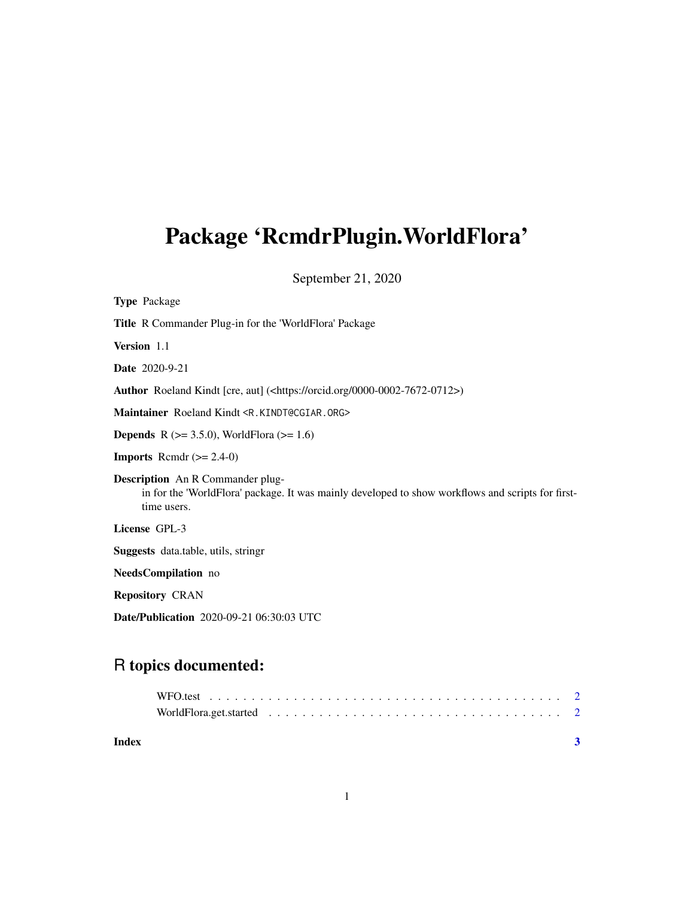## Package 'RcmdrPlugin.WorldFlora'

September 21, 2020

| <b>Type Package</b>                                                                                                                                         |
|-------------------------------------------------------------------------------------------------------------------------------------------------------------|
| <b>Title</b> R Commander Plug-in for the 'WorldFlora' Package                                                                                               |
| Version 1.1                                                                                                                                                 |
| <b>Date</b> 2020-9-21                                                                                                                                       |
| Author Roeland Kindt [cre, aut] ( <https: 0000-0002-7672-0712="" orcid.org="">)</https:>                                                                    |
| Maintainer Roeland Kindt <r.kindt@cgiar.org></r.kindt@cgiar.org>                                                                                            |
| <b>Depends</b> R ( $>= 3.5.0$ ), WorldFlora ( $>= 1.6$ )                                                                                                    |
| <b>Imports</b> Rcmdr $(>= 2.4-0)$                                                                                                                           |
| <b>Description</b> An R Commander plug-<br>in for the 'WorldFlora' package. It was mainly developed to show workflows and scripts for first-<br>time users. |
| License GPL-3                                                                                                                                               |
| <b>Suggests</b> data.table, utils, stringr                                                                                                                  |
| NeedsCompilation no                                                                                                                                         |
| <b>Repository CRAN</b>                                                                                                                                      |

Date/Publication 2020-09-21 06:30:03 UTC

### R topics documented: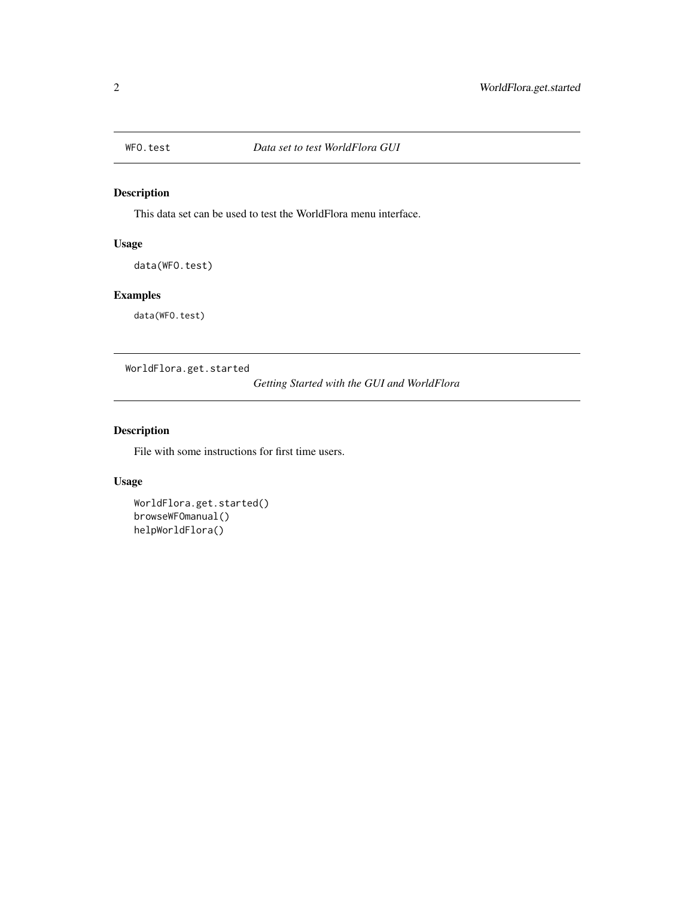<span id="page-1-0"></span>

#### Description

This data set can be used to test the WorldFlora menu interface.

#### Usage

data(WFO.test)

#### Examples

data(WFO.test)

WorldFlora.get.started

*Getting Started with the GUI and WorldFlora*

#### Description

File with some instructions for first time users.

#### Usage

```
WorldFlora.get.started()
browseWFOmanual()
helpWorldFlora()
```